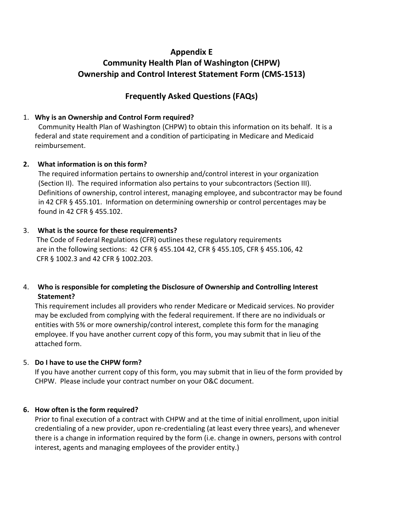# **Appendix E Community Health Plan of Washington (CHPW) Ownership and Control Interest Statement Form (CMS-1513)**

## **Frequently Asked Questions (FAQs)**

#### 1. **Why is an Ownership and Control Form required?**

 Community Health Plan of Washington (CHPW) to obtain this information on its behalf. It is a federal and state requirement and a condition of participating in Medicare and Medicaid reimbursement.

#### **2. What information is on this form?**

 The required information pertains to ownership and/control interest in your organization (Section II). The required information also pertains to your subcontractors (Section III). Definitions of ownership, control interest, managing employee, and subcontractor may be found in 42 CFR § 455.101. Information on determining ownership or control percentages may be found in 42 CFR § 455.102.

#### 3. **What is the source for these requirements?**

 The Code of Federal Regulations (CFR) outlines these regulatory requirements are in the following sections: 42 CFR § 455.104 42, CFR § 455.105, CFR § 455.106, 42 CFR § 1002.3 and 42 CFR § 1002.203.

## 4. **Who is responsible for completing the Disclosure of Ownership and Controlling Interest Statement?**

This requirement includes all providers who render Medicare or Medicaid services. No provider may be excluded from complying with the federal requirement. If there are no individuals or entities with 5% or more ownership/control interest, complete this form for the managing employee. If you have another current copy of this form, you may submit that in lieu of the attached form.

## 5. **Do I have to use the CHPW form?**

If you have another current copy of this form, you may submit that in lieu of the form provided by CHPW. Please include your contract number on your O&C document.

## **6. How often is the form required?**

Prior to final execution of a contract with CHPW and at the time of initial enrollment, upon initial credentialing of a new provider, upon re-credentialing (at least every three years), and whenever there is a change in information required by the form (i.e. change in owners, persons with control interest, agents and managing employees of the provider entity.)